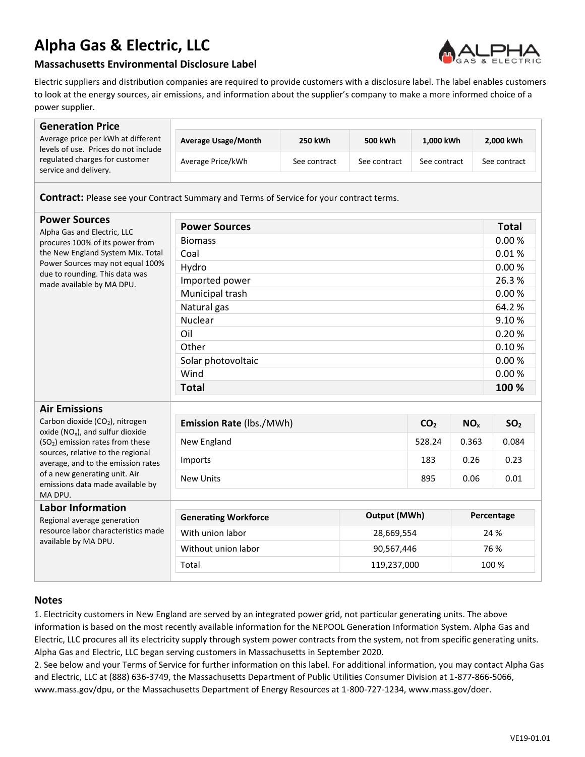## **Alpha Gas & Electric, LLC**



## **Massachusetts Environmental Disclosure Label**

Electric suppliers and distribution companies are required to provide customers with a disclosure label. The label enables customers to look at the energy sources, air emissions, and information about the supplier's company to make a more informed choice of a power supplier.

| <b>Generation Price</b>                                                                                                                                                                                                                                                             |                                                    |                |              |                 |                 |                 |
|-------------------------------------------------------------------------------------------------------------------------------------------------------------------------------------------------------------------------------------------------------------------------------------|----------------------------------------------------|----------------|--------------|-----------------|-----------------|-----------------|
| Average price per kWh at different<br>levels of use. Prices do not include<br>regulated charges for customer<br>service and delivery.                                                                                                                                               | <b>Average Usage/Month</b>                         | <b>250 kWh</b> | 500 kWh      | 1,000 kWh       |                 | 2,000 kWh       |
|                                                                                                                                                                                                                                                                                     | Average Price/kWh                                  | See contract   | See contract | See contract    |                 | See contract    |
| <b>Contract:</b> Please see your Contract Summary and Terms of Service for your contract terms.                                                                                                                                                                                     |                                                    |                |              |                 |                 |                 |
| <b>Power Sources</b><br>Alpha Gas and Electric, LLC<br>procures 100% of its power from<br>the New England System Mix. Total<br>Power Sources may not equal 100%<br>due to rounding. This data was<br>made available by MA DPU.                                                      | <b>Power Sources</b>                               |                |              |                 |                 | <b>Total</b>    |
|                                                                                                                                                                                                                                                                                     | <b>Biomass</b>                                     |                |              |                 |                 | 0.00%           |
|                                                                                                                                                                                                                                                                                     | Coal                                               |                |              |                 |                 | 0.01%           |
|                                                                                                                                                                                                                                                                                     | Hydro                                              |                |              |                 |                 | 0.00%           |
|                                                                                                                                                                                                                                                                                     | Imported power                                     |                |              |                 | 26.3%           |                 |
|                                                                                                                                                                                                                                                                                     | Municipal trash                                    |                |              |                 | 0.00%           |                 |
|                                                                                                                                                                                                                                                                                     | Natural gas                                        |                |              |                 |                 | 64.2%           |
|                                                                                                                                                                                                                                                                                     | <b>Nuclear</b>                                     |                |              |                 |                 | 9.10%           |
|                                                                                                                                                                                                                                                                                     | Oil                                                |                |              |                 |                 | 0.20%           |
|                                                                                                                                                                                                                                                                                     | Other                                              |                |              |                 |                 | 0.10%           |
|                                                                                                                                                                                                                                                                                     | Solar photovoltaic                                 |                |              |                 | 0.00%           |                 |
|                                                                                                                                                                                                                                                                                     | Wind                                               |                |              |                 |                 | 0.00%           |
|                                                                                                                                                                                                                                                                                     | <b>Total</b>                                       |                |              |                 | 100 %           |                 |
| <b>Air Emissions</b>                                                                                                                                                                                                                                                                |                                                    |                |              |                 |                 |                 |
| Carbon dioxide (CO <sub>2</sub> ), nitrogen<br>oxide ( $NO_x$ ), and sulfur dioxide<br>(SO <sub>2</sub> ) emission rates from these<br>sources, relative to the regional<br>average, and to the emission rates<br>of a new generating unit. Air<br>emissions data made available by | Emission Rate (lbs./MWh)                           |                |              | CO <sub>2</sub> | NO <sub>x</sub> | SO <sub>2</sub> |
|                                                                                                                                                                                                                                                                                     | New England                                        |                |              | 528.24          | 0.363           | 0.084           |
|                                                                                                                                                                                                                                                                                     | Imports                                            |                |              | 183             | 0.26            | 0.23            |
|                                                                                                                                                                                                                                                                                     | <b>New Units</b>                                   |                |              | 895             | 0.06            | 0.01            |
| MA DPU.                                                                                                                                                                                                                                                                             |                                                    |                |              |                 |                 |                 |
| <b>Labor Information</b><br>Regional average generation<br>resource labor characteristics made<br>available by MA DPU.                                                                                                                                                              | <b>Output (MWh)</b><br><b>Generating Workforce</b> |                |              | Percentage      |                 |                 |
|                                                                                                                                                                                                                                                                                     | With union labor<br>28,669,554                     |                |              |                 | 24 %            |                 |
|                                                                                                                                                                                                                                                                                     | Without union labor<br>90,567,446                  |                |              | 76 %            |                 |                 |
|                                                                                                                                                                                                                                                                                     | 119,237,000<br>Total                               |                |              |                 | 100 %           |                 |
|                                                                                                                                                                                                                                                                                     |                                                    |                |              |                 |                 |                 |

## **Notes**

1. Electricity customers in New England are served by an integrated power grid, not particular generating units. The above information is based on the most recently available information for the NEPOOL Generation Information System. Alpha Gas and Electric, LLC procures all its electricity supply through system power contracts from the system, not from specific generating units. Alpha Gas and Electric, LLC began serving customers in Massachusetts in September 2020.

2. See below and your Terms of Service for further information on this label. For additional information, you may contact Alpha Gas and Electric, LLC at (888) 636-3749, the Massachusetts Department of Public Utilities Consumer Division at 1-877-866-5066, www.mass.gov/dpu, or the Massachusetts Department of Energy Resources at 1-800-727-1234, www.mass.gov/doer.